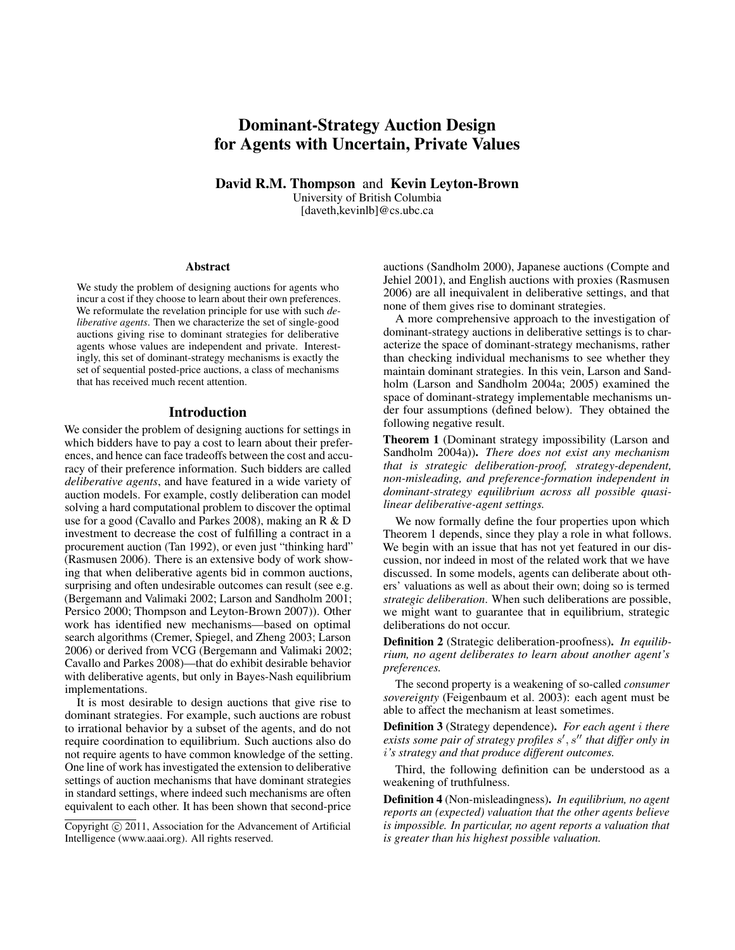# Dominant-Strategy Auction Design for Agents with Uncertain, Private Values

David R.M. Thompson and Kevin Leyton-Brown University of British Columbia [daveth,kevinlb]@cs.ubc.ca

#### **Abstract**

We study the problem of designing auctions for agents who incur a cost if they choose to learn about their own preferences. We reformulate the revelation principle for use with such *deliberative agents*. Then we characterize the set of single-good auctions giving rise to dominant strategies for deliberative agents whose values are independent and private. Interestingly, this set of dominant-strategy mechanisms is exactly the set of sequential posted-price auctions, a class of mechanisms that has received much recent attention.

#### Introduction

We consider the problem of designing auctions for settings in which bidders have to pay a cost to learn about their preferences, and hence can face tradeoffs between the cost and accuracy of their preference information. Such bidders are called *deliberative agents*, and have featured in a wide variety of auction models. For example, costly deliberation can model solving a hard computational problem to discover the optimal use for a good (Cavallo and Parkes 2008), making an R & D investment to decrease the cost of fulfilling a contract in a procurement auction (Tan 1992), or even just "thinking hard" (Rasmusen 2006). There is an extensive body of work showing that when deliberative agents bid in common auctions, surprising and often undesirable outcomes can result (see e.g. (Bergemann and Valimaki 2002; Larson and Sandholm 2001; Persico 2000; Thompson and Leyton-Brown 2007)). Other work has identified new mechanisms—based on optimal search algorithms (Cremer, Spiegel, and Zheng 2003; Larson 2006) or derived from VCG (Bergemann and Valimaki 2002; Cavallo and Parkes 2008)—that do exhibit desirable behavior with deliberative agents, but only in Bayes-Nash equilibrium implementations.

It is most desirable to design auctions that give rise to dominant strategies. For example, such auctions are robust to irrational behavior by a subset of the agents, and do not require coordination to equilibrium. Such auctions also do not require agents to have common knowledge of the setting. One line of work has investigated the extension to deliberative settings of auction mechanisms that have dominant strategies in standard settings, where indeed such mechanisms are often equivalent to each other. It has been shown that second-price

auctions (Sandholm 2000), Japanese auctions (Compte and Jehiel 2001), and English auctions with proxies (Rasmusen 2006) are all inequivalent in deliberative settings, and that none of them gives rise to dominant strategies.

A more comprehensive approach to the investigation of dominant-strategy auctions in deliberative settings is to characterize the space of dominant-strategy mechanisms, rather than checking individual mechanisms to see whether they maintain dominant strategies. In this vein, Larson and Sandholm (Larson and Sandholm 2004a; 2005) examined the space of dominant-strategy implementable mechanisms under four assumptions (defined below). They obtained the following negative result.

Theorem 1 (Dominant strategy impossibility (Larson and Sandholm 2004a)). *There does not exist any mechanism that is strategic deliberation-proof, strategy-dependent, non-misleading, and preference-formation independent in dominant-strategy equilibrium across all possible quasilinear deliberative-agent settings.*

We now formally define the four properties upon which Theorem 1 depends, since they play a role in what follows. We begin with an issue that has not yet featured in our discussion, nor indeed in most of the related work that we have discussed. In some models, agents can deliberate about others' valuations as well as about their own; doing so is termed *strategic deliberation*. When such deliberations are possible, we might want to guarantee that in equilibrium, strategic deliberations do not occur.

Definition 2 (Strategic deliberation-proofness). *In equilibrium, no agent deliberates to learn about another agent's preferences.*

The second property is a weakening of so-called *consumer sovereignty* (Feigenbaum et al. 2003): each agent must be able to affect the mechanism at least sometimes.

Definition 3 (Strategy dependence). *For each agent* i *there* exists some pair of strategy profiles s', s" that differ only in i*'s strategy and that produce different outcomes.*

Third, the following definition can be understood as a weakening of truthfulness.

Definition 4 (Non-misleadingness). *In equilibrium, no agent reports an (expected) valuation that the other agents believe is impossible. In particular, no agent reports a valuation that is greater than his highest possible valuation.*

Copyright  $\odot$  2011, Association for the Advancement of Artificial Intelligence (www.aaai.org). All rights reserved.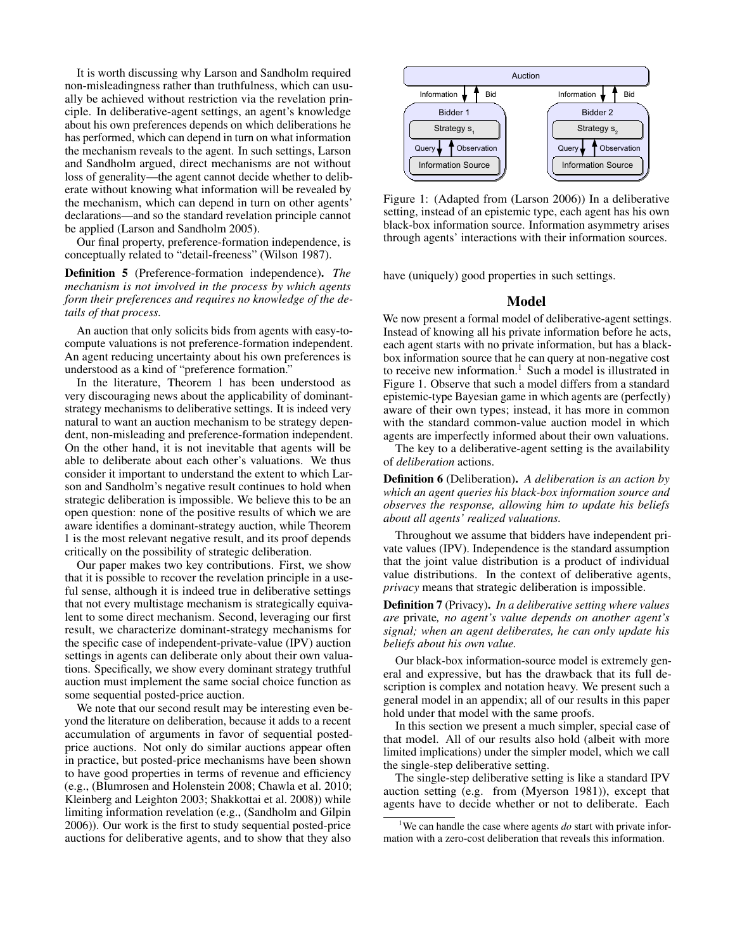It is worth discussing why Larson and Sandholm required non-misleadingness rather than truthfulness, which can usually be achieved without restriction via the revelation principle. In deliberative-agent settings, an agent's knowledge about his own preferences depends on which deliberations he has performed, which can depend in turn on what information the mechanism reveals to the agent. In such settings, Larson and Sandholm argued, direct mechanisms are not without loss of generality—the agent cannot decide whether to deliberate without knowing what information will be revealed by the mechanism, which can depend in turn on other agents' declarations—and so the standard revelation principle cannot be applied (Larson and Sandholm 2005).

Our final property, preference-formation independence, is conceptually related to "detail-freeness" (Wilson 1987).

Definition 5 (Preference-formation independence). *The mechanism is not involved in the process by which agents form their preferences and requires no knowledge of the details of that process.*

An auction that only solicits bids from agents with easy-tocompute valuations is not preference-formation independent. An agent reducing uncertainty about his own preferences is understood as a kind of "preference formation."

In the literature, Theorem 1 has been understood as very discouraging news about the applicability of dominantstrategy mechanisms to deliberative settings. It is indeed very natural to want an auction mechanism to be strategy dependent, non-misleading and preference-formation independent. On the other hand, it is not inevitable that agents will be able to deliberate about each other's valuations. We thus consider it important to understand the extent to which Larson and Sandholm's negative result continues to hold when strategic deliberation is impossible. We believe this to be an open question: none of the positive results of which we are aware identifies a dominant-strategy auction, while Theorem 1 is the most relevant negative result, and its proof depends critically on the possibility of strategic deliberation.

Our paper makes two key contributions. First, we show that it is possible to recover the revelation principle in a useful sense, although it is indeed true in deliberative settings that not every multistage mechanism is strategically equivalent to some direct mechanism. Second, leveraging our first result, we characterize dominant-strategy mechanisms for the specific case of independent-private-value (IPV) auction settings in agents can deliberate only about their own valuations. Specifically, we show every dominant strategy truthful auction must implement the same social choice function as some sequential posted-price auction.

We note that our second result may be interesting even beyond the literature on deliberation, because it adds to a recent accumulation of arguments in favor of sequential postedprice auctions. Not only do similar auctions appear often in practice, but posted-price mechanisms have been shown to have good properties in terms of revenue and efficiency (e.g., (Blumrosen and Holenstein 2008; Chawla et al. 2010; Kleinberg and Leighton 2003; Shakkottai et al. 2008)) while limiting information revelation (e.g., (Sandholm and Gilpin 2006)). Our work is the first to study sequential posted-price auctions for deliberative agents, and to show that they also



Figure 1: (Adapted from (Larson 2006)) In a deliberative setting, instead of an epistemic type, each agent has his own black-box information source. Information asymmetry arises through agents' interactions with their information sources.

have (uniquely) good properties in such settings.

## Model

We now present a formal model of deliberative-agent settings. Instead of knowing all his private information before he acts, each agent starts with no private information, but has a blackbox information source that he can query at non-negative cost to receive new information.<sup>1</sup> Such a model is illustrated in Figure 1. Observe that such a model differs from a standard epistemic-type Bayesian game in which agents are (perfectly) aware of their own types; instead, it has more in common with the standard common-value auction model in which agents are imperfectly informed about their own valuations.

The key to a deliberative-agent setting is the availability of *deliberation* actions.

Definition 6 (Deliberation). *A deliberation is an action by which an agent queries his black-box information source and observes the response, allowing him to update his beliefs about all agents' realized valuations.*

Throughout we assume that bidders have independent private values (IPV). Independence is the standard assumption that the joint value distribution is a product of individual value distributions. In the context of deliberative agents, *privacy* means that strategic deliberation is impossible.

Definition 7 (Privacy). *In a deliberative setting where values are* private*, no agent's value depends on another agent's signal; when an agent deliberates, he can only update his beliefs about his own value.*

Our black-box information-source model is extremely general and expressive, but has the drawback that its full description is complex and notation heavy. We present such a general model in an appendix; all of our results in this paper hold under that model with the same proofs.

In this section we present a much simpler, special case of that model. All of our results also hold (albeit with more limited implications) under the simpler model, which we call the single-step deliberative setting.

The single-step deliberative setting is like a standard IPV auction setting (e.g. from (Myerson 1981)), except that agents have to decide whether or not to deliberate. Each

<sup>1</sup>We can handle the case where agents *do* start with private information with a zero-cost deliberation that reveals this information.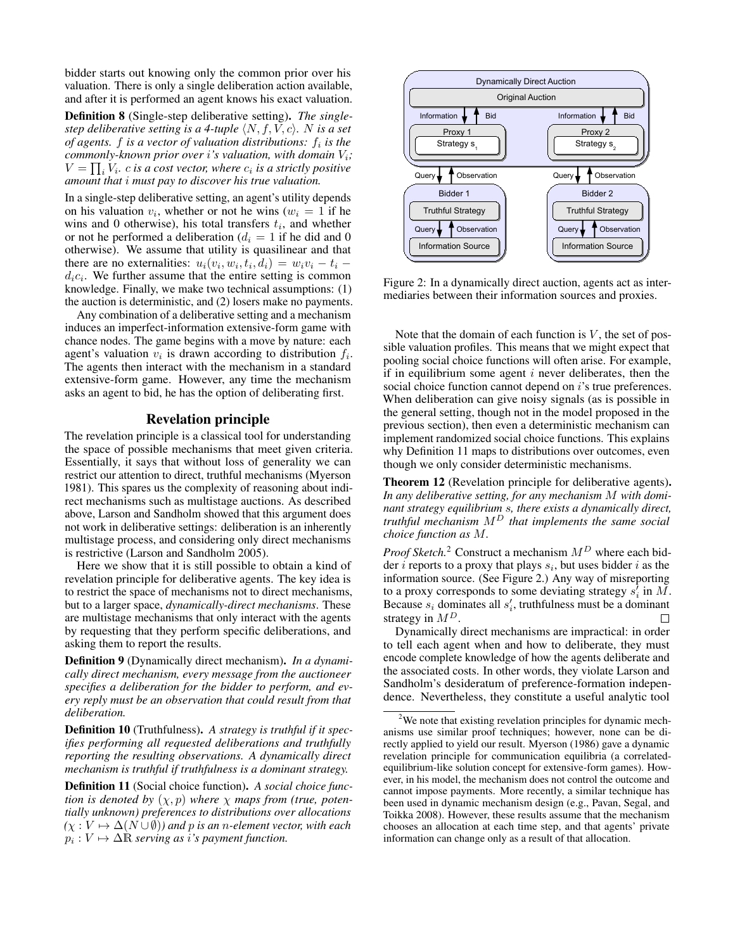bidder starts out knowing only the common prior over his valuation. There is only a single deliberation action available, and after it is performed an agent knows his exact valuation.

Definition 8 (Single-step deliberative setting). *The singlestep deliberative setting is a 4-tuple*  $\langle N, f, V, c \rangle$ *.* N *is a set of agents. f is a vector of valuation distributions:*  $f_i$  *is the commonly-known prior over i's valuation, with domain*  $V_i$ ;  $V = \prod_i V_i$ .  $c$  is a cost vector, where  $c_i$  is a strictly positive *amount that* i *must pay to discover his true valuation.*

In a single-step deliberative setting, an agent's utility depends on his valuation  $v_i$ , whether or not he wins ( $w_i = 1$  if he wins and 0 otherwise), his total transfers  $t_i$ , and whether or not he performed a deliberation ( $d_i = 1$  if he did and 0 otherwise). We assume that utility is quasilinear and that there are no externalities:  $u_i(v_i, w_i, t_i, d_i) = w_i v_i - t_i$  $d_i c_i$ . We further assume that the entire setting is common knowledge. Finally, we make two technical assumptions: (1) the auction is deterministic, and (2) losers make no payments.

Any combination of a deliberative setting and a mechanism induces an imperfect-information extensive-form game with chance nodes. The game begins with a move by nature: each agent's valuation  $v_i$  is drawn according to distribution  $f_i$ . The agents then interact with the mechanism in a standard extensive-form game. However, any time the mechanism asks an agent to bid, he has the option of deliberating first.

# Revelation principle

The revelation principle is a classical tool for understanding the space of possible mechanisms that meet given criteria. Essentially, it says that without loss of generality we can restrict our attention to direct, truthful mechanisms (Myerson 1981). This spares us the complexity of reasoning about indirect mechanisms such as multistage auctions. As described above, Larson and Sandholm showed that this argument does not work in deliberative settings: deliberation is an inherently multistage process, and considering only direct mechanisms is restrictive (Larson and Sandholm 2005).

Here we show that it is still possible to obtain a kind of revelation principle for deliberative agents. The key idea is to restrict the space of mechanisms not to direct mechanisms, but to a larger space, *dynamically-direct mechanisms*. These are multistage mechanisms that only interact with the agents by requesting that they perform specific deliberations, and asking them to report the results.

Definition 9 (Dynamically direct mechanism). *In a dynamically direct mechanism, every message from the auctioneer specifies a deliberation for the bidder to perform, and every reply must be an observation that could result from that deliberation.*

Definition 10 (Truthfulness). *A strategy is truthful if it specifies performing all requested deliberations and truthfully reporting the resulting observations. A dynamically direct mechanism is truthful if truthfulness is a dominant strategy.*

Definition 11 (Social choice function). *A social choice function is denoted by*  $(\chi, p)$  *where*  $\chi$  *maps from (true, potentially unknown) preferences to distributions over allocations*  $(\chi : V \mapsto \Delta(N \cup \emptyset))$  and p *is an n-element vector, with each*  $p_i : V \mapsto \Delta \mathbb{R}$  *serving as i's payment function.* 



Figure 2: In a dynamically direct auction, agents act as intermediaries between their information sources and proxies.

Note that the domain of each function is  $V$ , the set of possible valuation profiles. This means that we might expect that pooling social choice functions will often arise. For example, if in equilibrium some agent  $i$  never deliberates, then the social choice function cannot depend on *i*'s true preferences. When deliberation can give noisy signals (as is possible in the general setting, though not in the model proposed in the previous section), then even a deterministic mechanism can implement randomized social choice functions. This explains why Definition 11 maps to distributions over outcomes, even though we only consider deterministic mechanisms.

Theorem 12 (Revelation principle for deliberative agents). *In any deliberative setting, for any mechanism* M *with dominant strategy equilibrium* s*, there exists a dynamically direct, truthful mechanism* M<sup>D</sup> *that implements the same social choice function as* M*.*

*Proof Sketch.*<sup>2</sup> Construct a mechanism  $M<sup>D</sup>$  where each bidder *i* reports to a proxy that plays  $s_i$ , but uses bidder *i* as the information source. (See Figure 2.) Any way of misreporting to a proxy corresponds to some deviating strategy  $s_i^j$  in  $\tilde{M}$ . Because  $s_i$  dominates all  $s'_i$ , truthfulness must be a dominant strategy in  $M^D$ . П

Dynamically direct mechanisms are impractical: in order to tell each agent when and how to deliberate, they must encode complete knowledge of how the agents deliberate and the associated costs. In other words, they violate Larson and Sandholm's desideratum of preference-formation independence. Nevertheless, they constitute a useful analytic tool

 $2$ We note that existing revelation principles for dynamic mechanisms use similar proof techniques; however, none can be directly applied to yield our result. Myerson (1986) gave a dynamic revelation principle for communication equilibria (a correlatedequilibrium-like solution concept for extensive-form games). However, in his model, the mechanism does not control the outcome and cannot impose payments. More recently, a similar technique has been used in dynamic mechanism design (e.g., Pavan, Segal, and Toikka 2008). However, these results assume that the mechanism chooses an allocation at each time step, and that agents' private information can change only as a result of that allocation.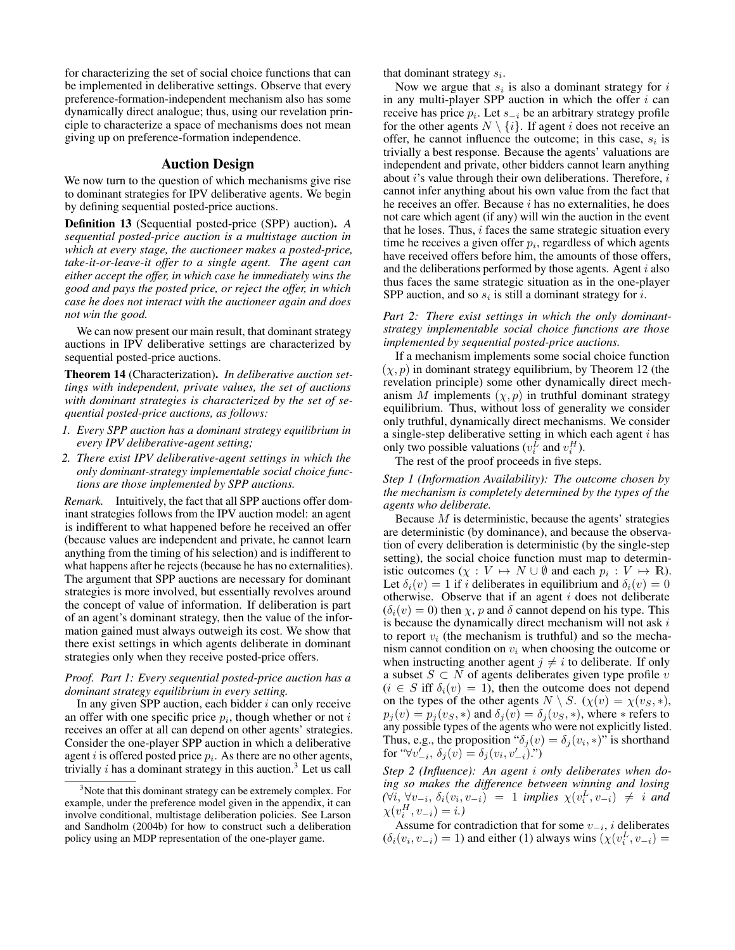for characterizing the set of social choice functions that can be implemented in deliberative settings. Observe that every preference-formation-independent mechanism also has some dynamically direct analogue; thus, using our revelation principle to characterize a space of mechanisms does not mean giving up on preference-formation independence.

### Auction Design

We now turn to the question of which mechanisms give rise to dominant strategies for IPV deliberative agents. We begin by defining sequential posted-price auctions.

Definition 13 (Sequential posted-price (SPP) auction). *A sequential posted-price auction is a multistage auction in which at every stage, the auctioneer makes a posted-price, take-it-or-leave-it offer to a single agent. The agent can either accept the offer, in which case he immediately wins the good and pays the posted price, or reject the offer, in which case he does not interact with the auctioneer again and does not win the good.*

We can now present our main result, that dominant strategy auctions in IPV deliberative settings are characterized by sequential posted-price auctions.

Theorem 14 (Characterization). *In deliberative auction settings with independent, private values, the set of auctions with dominant strategies is characterized by the set of sequential posted-price auctions, as follows:*

- *1. Every SPP auction has a dominant strategy equilibrium in every IPV deliberative-agent setting;*
- *2. There exist IPV deliberative-agent settings in which the only dominant-strategy implementable social choice functions are those implemented by SPP auctions.*

*Remark.* Intuitively, the fact that all SPP auctions offer dominant strategies follows from the IPV auction model: an agent is indifferent to what happened before he received an offer (because values are independent and private, he cannot learn anything from the timing of his selection) and is indifferent to what happens after he rejects (because he has no externalities). The argument that SPP auctions are necessary for dominant strategies is more involved, but essentially revolves around the concept of value of information. If deliberation is part of an agent's dominant strategy, then the value of the information gained must always outweigh its cost. We show that there exist settings in which agents deliberate in dominant strategies only when they receive posted-price offers.

#### *Proof. Part 1: Every sequential posted-price auction has a dominant strategy equilibrium in every setting.*

In any given SPP auction, each bidder  $i$  can only receive an offer with one specific price  $p_i$ , though whether or not i receives an offer at all can depend on other agents' strategies. Consider the one-player SPP auction in which a deliberative agent *i* is offered posted price  $p_i$ . As there are no other agents, trivially  $i$  has a dominant strategy in this auction.<sup>3</sup> Let us call

that dominant strategy  $s_i$ .

Now we argue that  $s_i$  is also a dominant strategy for  $i$ in any multi-player SPP auction in which the offer  $i$  can receive has price  $p_i$ . Let  $s_{-i}$  be an arbitrary strategy profile for the other agents  $N \setminus \{i\}$ . If agent i does not receive an offer, he cannot influence the outcome; in this case,  $s_i$  is trivially a best response. Because the agents' valuations are independent and private, other bidders cannot learn anything about  $i$ 's value through their own deliberations. Therefore,  $i$ cannot infer anything about his own value from the fact that he receives an offer. Because  $i$  has no externalities, he does not care which agent (if any) will win the auction in the event that he loses. Thus,  $i$  faces the same strategic situation every time he receives a given offer  $p_i$ , regardless of which agents have received offers before him, the amounts of those offers, and the deliberations performed by those agents. Agent  $i$  also thus faces the same strategic situation as in the one-player SPP auction, and so  $s_i$  is still a dominant strategy for i.

*Part 2: There exist settings in which the only dominantstrategy implementable social choice functions are those implemented by sequential posted-price auctions.*

If a mechanism implements some social choice function  $(\chi, p)$  in dominant strategy equilibrium, by Theorem 12 (the revelation principle) some other dynamically direct mechanism M implements  $(\chi, p)$  in truthful dominant strategy equilibrium. Thus, without loss of generality we consider only truthful, dynamically direct mechanisms. We consider a single-step deliberative setting in which each agent  $i$  has only two possible valuations ( $v_i^L$  and  $v_i^H$ ).

The rest of the proof proceeds in five steps.

*Step 1 (Information Availability): The outcome chosen by the mechanism is completely determined by the types of the agents who deliberate.*

Because  $M$  is deterministic, because the agents' strategies are deterministic (by dominance), and because the observation of every deliberation is deterministic (by the single-step setting), the social choice function must map to deterministic outcomes  $(\chi : V \mapsto N \cup \emptyset$  and each  $p_i : V \mapsto \mathbb{R}$ ). Let  $\delta_i(v) = 1$  if i deliberates in equilibrium and  $\delta_i(v) = 0$ otherwise. Observe that if an agent  $i$  does not deliberate  $(\delta_i(v) = 0)$  then  $\chi$ , p and  $\delta$  cannot depend on his type. This is because the dynamically direct mechanism will not ask i to report  $v_i$  (the mechanism is truthful) and so the mechanism cannot condition on  $v_i$  when choosing the outcome or when instructing another agent  $j \neq i$  to deliberate. If only a subset  $S \subset N$  of agents deliberates given type profile v  $(i \in S$  iff  $\delta_i(v) = 1$ , then the outcome does not depend on the types of the other agents  $N \setminus S$ .  $(\chi(v) = \chi(v_s, *),$  $p_i(v) = p_i(v_S, *)$  and  $\delta_i(v) = \delta_i(v_S, *)$ , where  $*$  refers to any possible types of the agents who were not explicitly listed. Thus, e.g., the proposition " $\delta_j(v) = \delta_j(v_i, *)$ " is shorthand for " $\forall v'_{-i}, \delta_j(v) = \delta_j(v_i, v'_{-i})$ .")

*Step 2 (Influence): An agent* i *only deliberates when doing so makes the difference between winning and losing*  $(\forall i, \forall v_{-i}, \delta_i(v_i, v_{-i}) = 1$  *implies*  $\chi(v_i^L, v_{-i}) \neq i$  *and*  $\chi(v_i^H, v_{-i}) = i$ .)

Assume for contradiction that for some  $v_{-i}$ , i deliberates  $(\delta_i(v_i, v_{-i}) = 1)$  and either (1) always wins  $(\chi(v_i^L, v_{-i}) = 1)$ 

 $3$ Note that this dominant strategy can be extremely complex. For example, under the preference model given in the appendix, it can involve conditional, multistage deliberation policies. See Larson and Sandholm (2004b) for how to construct such a deliberation policy using an MDP representation of the one-player game.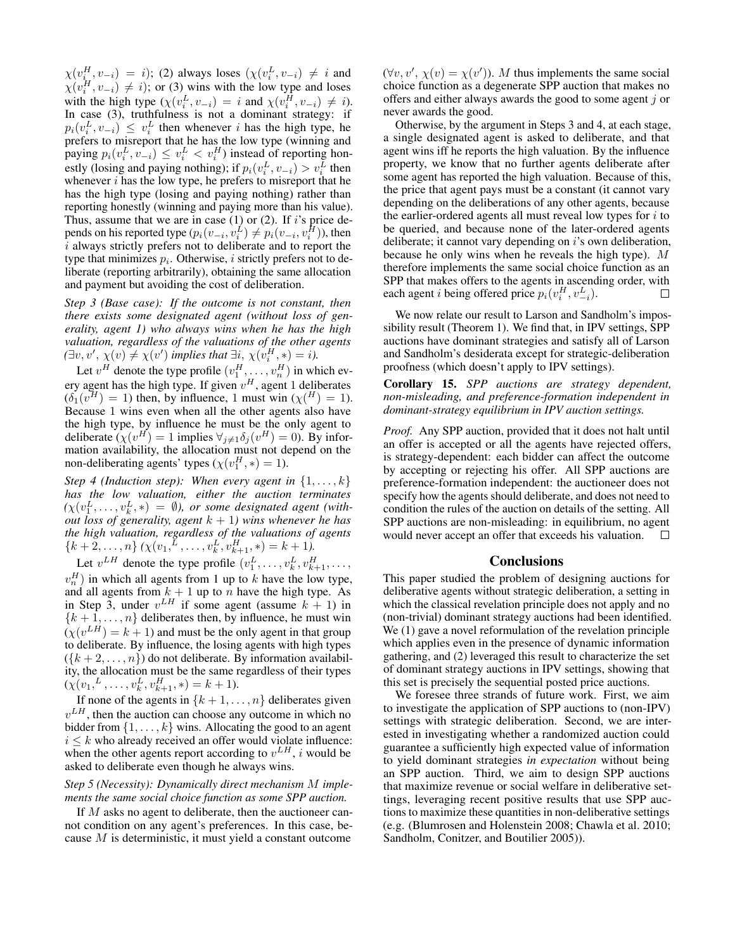$\chi(v_i^H, v_{-i}) = i$ ); (2) always loses  $(\chi(v_i^L, v_{-i}) \neq i$  and  $\chi(v_i^H, v_{-i}) \neq i$ ; or (3) wins with the low type and loses with the high type  $(\chi(v_i^L, v_{-i}) = i \text{ and } \chi(v_i^H, v_{-i}) \neq i)$ . In case (3), truthfulness is not a dominant strategy: if  $p_i(v_i^L, v_{-i}) \leq v_i^L$  then whenever i has the high type, he prefers to misreport that he has the low type (winning and paying  $p_i(v_i^L, v_{-i}) \leq v_i^L < v_i^H$ ) instead of reporting honestly (losing and paying nothing); if  $p_i(v_i^L, v_{-i}) > v_i^L$  then whenever  $i$  has the low type, he prefers to misreport that he has the high type (losing and paying nothing) rather than reporting honestly (winning and paying more than his value). Thus, assume that we are in case  $(1)$  or  $(2)$ . If i's price depends on his reported type  $(p_i(v_{-i}, v_i^L) \neq p_i(v_{-i}, v_i^H))$ , then i always strictly prefers not to deliberate and to report the type that minimizes  $p_i$ . Otherwise, i strictly prefers not to deliberate (reporting arbitrarily), obtaining the same allocation and payment but avoiding the cost of deliberation.

*Step 3 (Base case): If the outcome is not constant, then there exists some designated agent (without loss of generality, agent 1) who always wins when he has the high valuation, regardless of the valuations of the other agents*  $(\exists v, v', \chi(v) \neq \chi(v')$  implies that  $\exists i, \chi(v_i^H, *) = i$ .

Let  $v^H$  denote the type profile  $(v_1^H, \ldots, v_n^H)$  in which every agent has the high type. If given  $v^H$ , agent 1 deliberates  $(\delta_1(v^H) = 1)$  then, by influence, 1 must win  $(\chi(\mathcal{H}) = 1)$ . Because 1 wins even when all the other agents also have the high type, by influence he must be the only agent to deliberate  $(\chi(v^H) = 1$  implies  $\forall_{j \neq 1} \delta_j(v^H) = 0$ ). By information availability, the allocation must not depend on the non-deliberating agents' types  $(\chi(v_1^H, *) = 1)$ .

*Step 4 (Induction step): When every agent in*  $\{1, \ldots, k\}$ *has the low valuation, either the auction terminates*  $(\chi(v_1^L, \ldots, v_k^L, *) = \emptyset)$ , or some designated agent (with*out loss of generality, agent*  $k + 1$ *) wins whenever he has the high valuation, regardless of the valuations of agents*  ${k + 2,...,n} (\chi(v_1, \lambda^L, ..., v_k^L, v_{k+1}^H, *) = k + 1).$ 

Let  $v^{LH}$  denote the type profile  $(v_1^L, \ldots, v_k^L, v_{k+1}^H, \ldots, v_k^L)$  $v_n^H$ ) in which all agents from 1 up to k have the low type, and all agents from  $k + 1$  up to n have the high type. As in Step 3, under  $v^{LH}$  if some agent (assume  $k + 1$ ) in  ${k + 1,...,n}$  deliberates then, by influence, he must win  $(\chi(v^{LH}) = k + 1)$  and must be the only agent in that group to deliberate. By influence, the losing agents with high types  $({k+2,\ldots,n})$  do not deliberate. By information availability, the allocation must be the same regardless of their types  $(\chi(v_1, \lambda_1, \ldots, v_k, v_{k+1}^H, *) = k+1).$ 

If none of the agents in  $\{k+1,\ldots,n\}$  deliberates given  $v<sup>LH</sup>$ , then the auction can choose any outcome in which no bidder from  $\{1, \ldots, k\}$  wins. Allocating the good to an agent  $i \leq k$  who already received an offer would violate influence: when the other agents report according to  $v^{LH}$ , *i* would be asked to deliberate even though he always wins.

#### *Step 5 (Necessity): Dynamically direct mechanism* M *implements the same social choice function as some SPP auction.*

If M asks no agent to deliberate, then the auctioneer cannot condition on any agent's preferences. In this case, because M is deterministic, it must yield a constant outcome

 $(\forall v, v', \chi(v) = \chi(v'))$ . M thus implements the same social choice function as a degenerate SPP auction that makes no offers and either always awards the good to some agent  $j$  or never awards the good.

Otherwise, by the argument in Steps 3 and 4, at each stage, a single designated agent is asked to deliberate, and that agent wins iff he reports the high valuation. By the influence property, we know that no further agents deliberate after some agent has reported the high valuation. Because of this, the price that agent pays must be a constant (it cannot vary depending on the deliberations of any other agents, because the earlier-ordered agents all must reveal low types for  $i$  to be queried, and because none of the later-ordered agents deliberate; it cannot vary depending on  $i$ 's own deliberation, because he only wins when he reveals the high type). M therefore implements the same social choice function as an SPP that makes offers to the agents in ascending order, with each agent *i* being offered price  $p_i(v_i^H, v_{-i}^L)$ .  $\Box$ 

We now relate our result to Larson and Sandholm's impossibility result (Theorem 1). We find that, in IPV settings, SPP auctions have dominant strategies and satisfy all of Larson and Sandholm's desiderata except for strategic-deliberation proofness (which doesn't apply to IPV settings).

Corollary 15. *SPP auctions are strategy dependent, non-misleading, and preference-formation independent in dominant-strategy equilibrium in IPV auction settings.*

*Proof.* Any SPP auction, provided that it does not halt until an offer is accepted or all the agents have rejected offers, is strategy-dependent: each bidder can affect the outcome by accepting or rejecting his offer. All SPP auctions are preference-formation independent: the auctioneer does not specify how the agents should deliberate, and does not need to condition the rules of the auction on details of the setting. All SPP auctions are non-misleading: in equilibrium, no agent would never accept an offer that exceeds his valuation.  $\Box$ 

#### **Conclusions**

This paper studied the problem of designing auctions for deliberative agents without strategic deliberation, a setting in which the classical revelation principle does not apply and no (non-trivial) dominant strategy auctions had been identified. We  $(1)$  gave a novel reformulation of the revelation principle which applies even in the presence of dynamic information gathering, and (2) leveraged this result to characterize the set of dominant strategy auctions in IPV settings, showing that this set is precisely the sequential posted price auctions.

We foresee three strands of future work. First, we aim to investigate the application of SPP auctions to (non-IPV) settings with strategic deliberation. Second, we are interested in investigating whether a randomized auction could guarantee a sufficiently high expected value of information to yield dominant strategies *in expectation* without being an SPP auction. Third, we aim to design SPP auctions that maximize revenue or social welfare in deliberative settings, leveraging recent positive results that use SPP auctions to maximize these quantities in non-deliberative settings (e.g. (Blumrosen and Holenstein 2008; Chawla et al. 2010; Sandholm, Conitzer, and Boutilier 2005)).